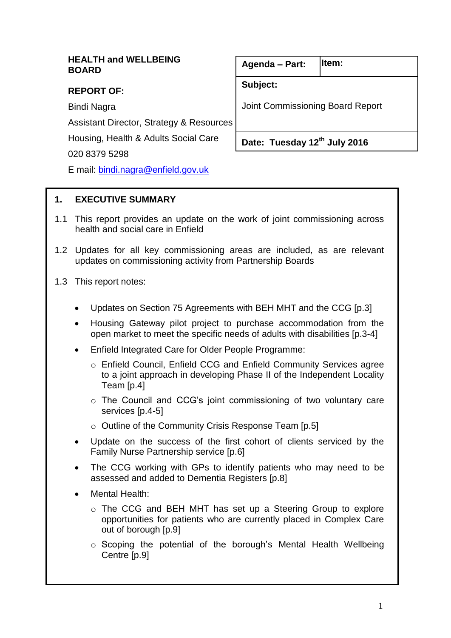# **HEALTH and WELLBEING BOARD**

# **REPORT OF:**

Bindi Nagra

Assistant Director, Strategy & Resources

Housing, Health & Adults Social Care

020 8379 5298

E mail: [bindi.nagra@enfield.gov.uk](mailto:bindi.nagra@enfield.gov.uk)

#### **Agenda – Part: Item:**

**Subject:**

Joint Commissioning Board Report

**Date: Tuesday 12 th July 2016** 

# **1. EXECUTIVE SUMMARY**

- 1.1 This report provides an update on the work of joint commissioning across health and social care in Enfield
- 1.2 Updates for all key commissioning areas are included, as are relevant updates on commissioning activity from Partnership Boards
- 1.3 This report notes:
	- Updates on Section 75 Agreements with BEH MHT and the CCG [p.3]
	- Housing Gateway pilot project to purchase accommodation from the open market to meet the specific needs of adults with disabilities [p.3-4]
	- Enfield Integrated Care for Older People Programme:
		- o Enfield Council, Enfield CCG and Enfield Community Services agree to a joint approach in developing Phase II of the Independent Locality Team [p.4]
		- o The Council and CCG's joint commissioning of two voluntary care services [p.4-5]
		- o Outline of the Community Crisis Response Team [p.5]
	- Update on the success of the first cohort of clients serviced by the Family Nurse Partnership service [p.6]
	- The CCG working with GPs to identify patients who may need to be assessed and added to Dementia Registers [p.8]
	- Mental Health:
		- o The CCG and BEH MHT has set up a Steering Group to explore opportunities for patients who are currently placed in Complex Care out of borough [p.9]
		- o Scoping the potential of the borough's Mental Health Wellbeing Centre [p.9]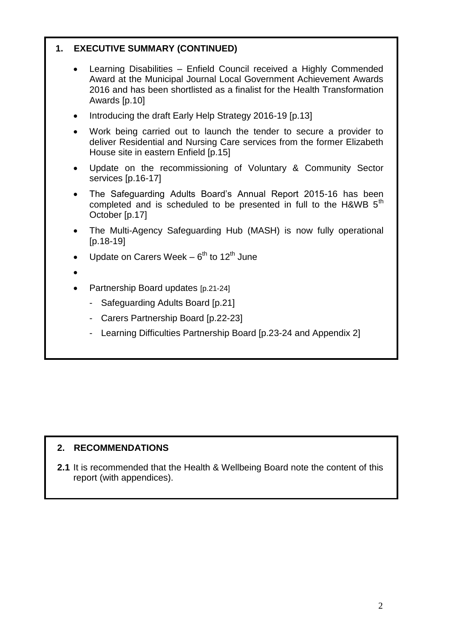# **1. EXECUTIVE SUMMARY (CONTINUED)**

- Learning Disabilities Enfield Council received a Highly Commended Award at the Municipal Journal Local Government Achievement Awards 2016 and has been shortlisted as a finalist for the Health Transformation Awards [p.10]
- Introducing the draft Early Help Strategy 2016-19 [p.13]
- Work being carried out to launch the tender to secure a provider to deliver Residential and Nursing Care services from the former Elizabeth House site in eastern Enfield [p.15]
- Update on the recommissioning of Voluntary & Community Sector services [p.16-17]
- The Safeguarding Adults Board's Annual Report 2015-16 has been completed and is scheduled to be presented in full to the H&WB 5<sup>th</sup> October [p.17]
- The Multi-Agency Safeguarding Hub (MASH) is now fully operational [p.18-19]
- Update on Carers Week  $6^{th}$  to 12<sup>th</sup> June
- $\bullet$
- Partnership Board updates [p.21-24]
	- Safeguarding Adults Board [p.21]
	- Carers Partnership Board [p.22-23]
	- Learning Difficulties Partnership Board [p.23-24 and Appendix 2]

# **2. RECOMMENDATIONS**

**2.1** It is recommended that the Health & Wellbeing Board note the content of this report (with appendices).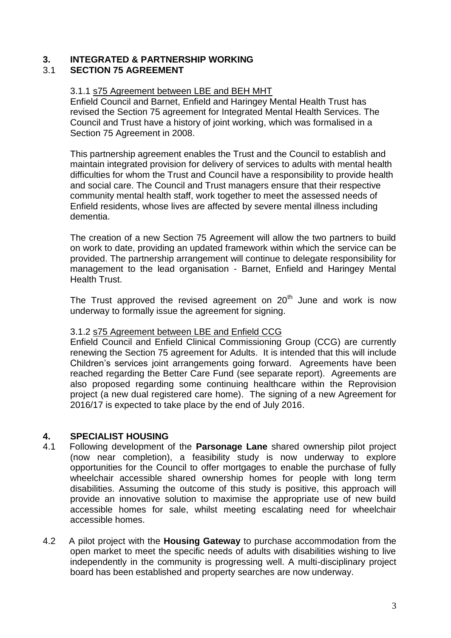#### **3. INTEGRATED & PARTNERSHIP WORKING**  3.1 **SECTION 75 AGREEMENT**

# 3.1.1 s75 Agreement between LBE and BEH MHT

Enfield Council and Barnet, Enfield and Haringey Mental Health Trust has revised the Section 75 agreement for Integrated Mental Health Services. The Council and Trust have a history of joint working, which was formalised in a Section 75 Agreement in 2008.

This partnership agreement enables the Trust and the Council to establish and maintain integrated provision for delivery of services to adults with mental health difficulties for whom the Trust and Council have a responsibility to provide health and social care. The Council and Trust managers ensure that their respective community mental health staff, work together to meet the assessed needs of Enfield residents, whose lives are affected by severe mental illness including dementia.

The creation of a new Section 75 Agreement will allow the two partners to build on work to date, providing an updated framework within which the service can be provided. The partnership arrangement will continue to delegate responsibility for management to the lead organisation - Barnet, Enfield and Haringey Mental Health Trust.

The Trust approved the revised agreement on  $20<sup>th</sup>$  June and work is now underway to formally issue the agreement for signing.

#### 3.1.2 s75 Agreement between LBE and Enfield CCG

Enfield Council and Enfield Clinical Commissioning Group (CCG) are currently renewing the Section 75 agreement for Adults. It is intended that this will include Children's services joint arrangements going forward. Agreements have been reached regarding the Better Care Fund (see separate report). Agreements are also proposed regarding some continuing healthcare within the Reprovision project (a new dual registered care home). The signing of a new Agreement for 2016/17 is expected to take place by the end of July 2016.

# **4. SPECIALIST HOUSING**

- 4.1 Following development of the **Parsonage Lane** shared ownership pilot project (now near completion), a feasibility study is now underway to explore opportunities for the Council to offer mortgages to enable the purchase of fully wheelchair accessible shared ownership homes for people with long term disabilities. Assuming the outcome of this study is positive, this approach will provide an innovative solution to maximise the appropriate use of new build accessible homes for sale, whilst meeting escalating need for wheelchair accessible homes.
- 4.2 A pilot project with the **Housing Gateway** to purchase accommodation from the open market to meet the specific needs of adults with disabilities wishing to live independently in the community is progressing well. A multi-disciplinary project board has been established and property searches are now underway.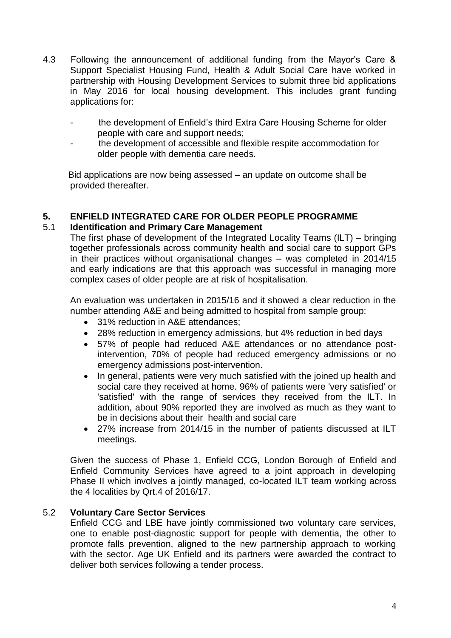- 4.3 Following the announcement of additional funding from the Mayor's Care & Support Specialist Housing Fund, Health & Adult Social Care have worked in partnership with Housing Development Services to submit three bid applications in May 2016 for local housing development. This includes grant funding applications for:
	- the development of Enfield's third Extra Care Housing Scheme for older people with care and support needs;
	- the development of accessible and flexible respite accommodation for older people with dementia care needs.

 Bid applications are now being assessed – an update on outcome shall be provided thereafter.

# **5. ENFIELD INTEGRATED CARE FOR OLDER PEOPLE PROGRAMME**

# 5.1 **Identification and Primary Care Management**

The first phase of development of the Integrated Locality Teams (ILT) – bringing together professionals across community health and social care to support GPs in their practices without organisational changes – was completed in 2014/15 and early indications are that this approach was successful in managing more complex cases of older people are at risk of hospitalisation.

An evaluation was undertaken in 2015/16 and it showed a clear reduction in the number attending A&E and being admitted to hospital from sample group:

- 31% reduction in A&E attendances;
- 28% reduction in emergency admissions, but 4% reduction in bed days
- 57% of people had reduced A&E attendances or no attendance postintervention, 70% of people had reduced emergency admissions or no emergency admissions post-intervention.
- In general, patients were very much satisfied with the joined up health and social care they received at home. 96% of patients were 'very satisfied' or 'satisfied' with the range of services they received from the ILT. In addition, about 90% reported they are involved as much as they want to be in decisions about their health and social care
- 27% increase from 2014/15 in the number of patients discussed at ILT meetings.

Given the success of Phase 1, Enfield CCG, London Borough of Enfield and Enfield Community Services have agreed to a joint approach in developing Phase II which involves a jointly managed, co-located ILT team working across the 4 localities by Qrt.4 of 2016/17.

### 5.2 **Voluntary Care Sector Services**

Enfield CCG and LBE have jointly commissioned two voluntary care services, one to enable post-diagnostic support for people with dementia, the other to promote falls prevention, aligned to the new partnership approach to working with the sector. Age UK Enfield and its partners were awarded the contract to deliver both services following a tender process.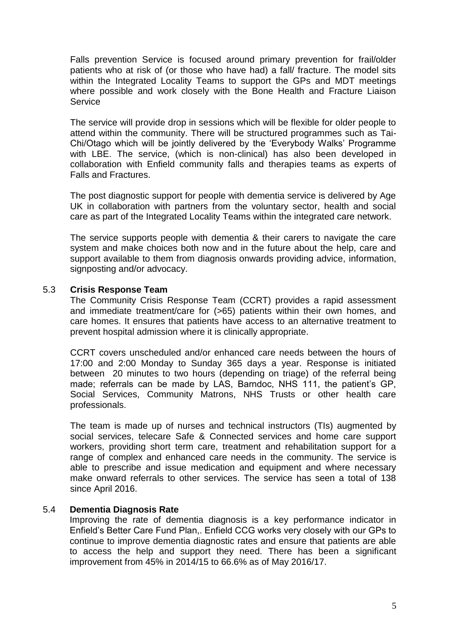Falls prevention Service is focused around primary prevention for frail/older patients who at risk of (or those who have had) a fall/ fracture. The model sits within the Integrated Locality Teams to support the GPs and MDT meetings where possible and work closely with the Bone Health and Fracture Liaison Service

The service will provide drop in sessions which will be flexible for older people to attend within the community. There will be structured programmes such as Tai-Chi/Otago which will be jointly delivered by the 'Everybody Walks' Programme with LBE. The service, (which is non-clinical) has also been developed in collaboration with Enfield community falls and therapies teams as experts of Falls and Fractures.

The post diagnostic support for people with dementia service is delivered by Age UK in collaboration with partners from the voluntary sector, health and social care as part of the Integrated Locality Teams within the integrated care network.

The service supports people with dementia & their carers to navigate the care system and make choices both now and in the future about the help, care and support available to them from diagnosis onwards providing advice, information, signposting and/or advocacy.

#### 5.3 **Crisis Response Team**

The Community Crisis Response Team (CCRT) provides a rapid assessment and immediate treatment/care for (>65) patients within their own homes, and care homes. It ensures that patients have access to an alternative treatment to prevent hospital admission where it is clinically appropriate.

CCRT covers unscheduled and/or enhanced care needs between the hours of 17:00 and 2:00 Monday to Sunday 365 days a year. Response is initiated between 20 minutes to two hours (depending on triage) of the referral being made; referrals can be made by LAS, Barndoc, NHS 111, the patient's GP, Social Services, Community Matrons, NHS Trusts or other health care professionals.

The team is made up of nurses and technical instructors (TIs) augmented by social services, telecare Safe & Connected services and home care support workers, providing short term care, treatment and rehabilitation support for a range of complex and enhanced care needs in the community. The service is able to prescribe and issue medication and equipment and where necessary make onward referrals to other services. The service has seen a total of 138 since April 2016.

#### 5.4 **Dementia Diagnosis Rate**

Improving the rate of dementia diagnosis is a key performance indicator in Enfield's Better Care Fund Plan,. Enfield CCG works very closely with our GPs to continue to improve dementia diagnostic rates and ensure that patients are able to access the help and support they need. There has been a significant improvement from 45% in 2014/15 to 66.6% as of May 2016/17.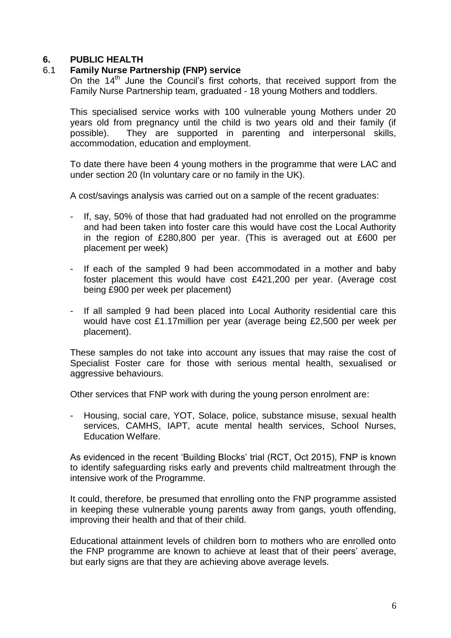# **6. PUBLIC HEALTH**

# 6.1 **Family Nurse Partnership (FNP) service**

On the 14<sup>th</sup> June the Council's first cohorts, that received support from the Family Nurse Partnership team, graduated - 18 young Mothers and toddlers.

This specialised service works with 100 vulnerable young Mothers under 20 years old from pregnancy until the child is two years old and their family (if possible). They are supported in parenting and interpersonal skills, accommodation, education and employment.

To date there have been 4 young mothers in the programme that were LAC and under section 20 (In voluntary care or no family in the UK).

A cost/savings analysis was carried out on a sample of the recent graduates:

- If, say, 50% of those that had graduated had not enrolled on the programme and had been taken into foster care this would have cost the Local Authority in the region of £280,800 per year. (This is averaged out at £600 per placement per week)
- If each of the sampled 9 had been accommodated in a mother and baby foster placement this would have cost £421,200 per year. (Average cost being £900 per week per placement)
- If all sampled 9 had been placed into Local Authority residential care this would have cost £1.17million per year (average being £2,500 per week per placement).

These samples do not take into account any issues that may raise the cost of Specialist Foster care for those with serious mental health, sexualised or aggressive behaviours.

Other services that FNP work with during the young person enrolment are:

- Housing, social care, YOT, Solace, police, substance misuse, sexual health services, CAMHS, IAPT, acute mental health services, School Nurses, Education Welfare.

As evidenced in the recent 'Building Blocks' trial (RCT, Oct 2015), FNP is known to identify safeguarding risks early and prevents child maltreatment through the intensive work of the Programme.

It could, therefore, be presumed that enrolling onto the FNP programme assisted in keeping these vulnerable young parents away from gangs, youth offending, improving their health and that of their child.

Educational attainment levels of children born to mothers who are enrolled onto the FNP programme are known to achieve at least that of their peers' average, but early signs are that they are achieving above average levels.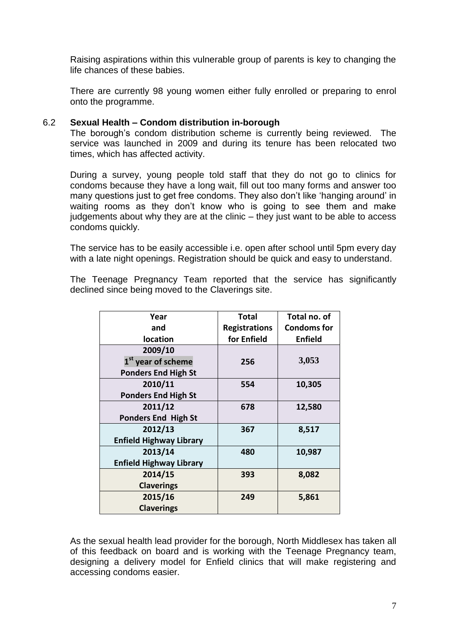Raising aspirations within this vulnerable group of parents is key to changing the life chances of these babies.

There are currently 98 young women either fully enrolled or preparing to enrol onto the programme.

#### 6.2 **Sexual Health – Condom distribution in-borough**

The borough's condom distribution scheme is currently being reviewed. The service was launched in 2009 and during its tenure has been relocated two times, which has affected activity.

During a survey, young people told staff that they do not go to clinics for condoms because they have a long wait, fill out too many forms and answer too many questions just to get free condoms. They also don't like 'hanging around' in waiting rooms as they don't know who is going to see them and make judgements about why they are at the clinic – they just want to be able to access condoms quickly.

The service has to be easily accessible i.e. open after school until 5pm every day with a late night openings. Registration should be quick and easy to understand.

The Teenage Pregnancy Team reported that the service has significantly declined since being moved to the Claverings site.

| Year                           | Total                | Total no. of       |
|--------------------------------|----------------------|--------------------|
| and                            | <b>Registrations</b> | <b>Condoms for</b> |
| location                       | for Enfield          | <b>Enfield</b>     |
| 2009/10                        |                      |                    |
| 1 <sup>st</sup> year of scheme | 256                  | 3,053              |
| <b>Ponders End High St</b>     |                      |                    |
| 2010/11                        | 554                  | 10,305             |
| <b>Ponders End High St</b>     |                      |                    |
| 2011/12                        | 678                  | 12,580             |
| <b>Ponders End High St</b>     |                      |                    |
| 2012/13                        | 367                  | 8,517              |
| <b>Enfield Highway Library</b> |                      |                    |
| 2013/14                        | 480                  | 10,987             |
| <b>Enfield Highway Library</b> |                      |                    |
| 2014/15                        | 393                  | 8,082              |
| <b>Claverings</b>              |                      |                    |
| 2015/16                        | 249                  | 5,861              |
| <b>Claverings</b>              |                      |                    |

As the sexual health lead provider for the borough, North Middlesex has taken all of this feedback on board and is working with the Teenage Pregnancy team, designing a delivery model for Enfield clinics that will make registering and accessing condoms easier.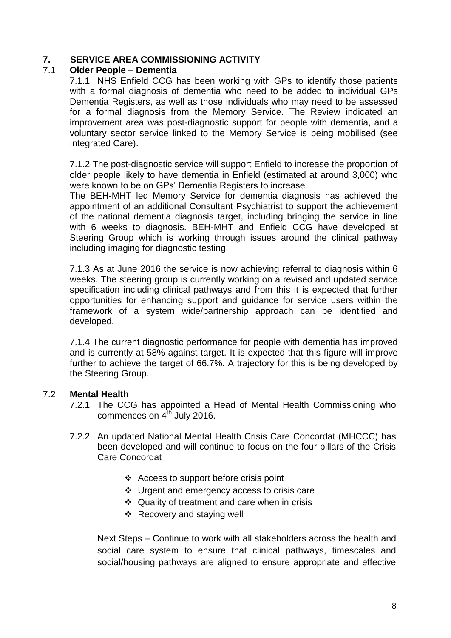# **7. SERVICE AREA COMMISSIONING ACTIVITY**

# 7.1 **Older People – Dementia**

7.1.1 NHS Enfield CCG has been working with GPs to identify those patients with a formal diagnosis of dementia who need to be added to individual GPs Dementia Registers, as well as those individuals who may need to be assessed for a formal diagnosis from the Memory Service. The Review indicated an improvement area was post-diagnostic support for people with dementia, and a voluntary sector service linked to the Memory Service is being mobilised (see Integrated Care).

7.1.2 The post-diagnostic service will support Enfield to increase the proportion of older people likely to have dementia in Enfield (estimated at around 3,000) who were known to be on GPs' Dementia Registers to increase.

The BEH-MHT led Memory Service for dementia diagnosis has achieved the appointment of an additional Consultant Psychiatrist to support the achievement of the national dementia diagnosis target, including bringing the service in line with 6 weeks to diagnosis. BEH-MHT and Enfield CCG have developed at Steering Group which is working through issues around the clinical pathway including imaging for diagnostic testing.

7.1.3 As at June 2016 the service is now achieving referral to diagnosis within 6 weeks. The steering group is currently working on a revised and updated service specification including clinical pathways and from this it is expected that further opportunities for enhancing support and guidance for service users within the framework of a system wide/partnership approach can be identified and developed.

7.1.4 The current diagnostic performance for people with dementia has improved and is currently at 58% against target. It is expected that this figure will improve further to achieve the target of 66.7%. A trajectory for this is being developed by the Steering Group.

# 7.2 **Mental Health**

- 7.2.1 The CCG has appointed a Head of Mental Health Commissioning who commences on  $4<sup>th</sup>$  July 2016.
- 7.2.2 An updated National Mental Health Crisis Care Concordat (MHCCC) has been developed and will continue to focus on the four pillars of the Crisis Care Concordat
	- [Access to support before crisis point](http://www.crisiscareconcordat.org.uk/about/#access)
	- ❖ [Urgent and emergency access to crisis care](http://www.crisiscareconcordat.org.uk/about/#urgent)
	- $\div$  [Quality of treatment and care when in](http://www.crisiscareconcordat.org.uk/about/#quality) crisis
	- $\div$  [Recovery and staying well](http://www.crisiscareconcordat.org.uk/about/#recovery)

Next Steps – Continue to work with all stakeholders across the health and social care system to ensure that clinical pathways, timescales and social/housing pathways are aligned to ensure appropriate and effective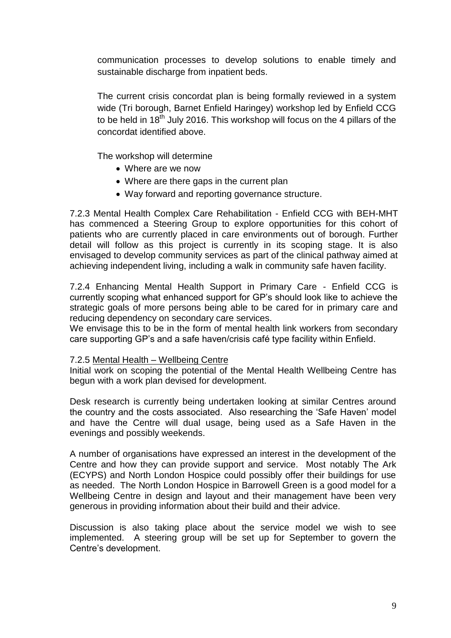communication processes to develop solutions to enable timely and sustainable discharge from inpatient beds.

The current crisis concordat plan is being formally reviewed in a system wide (Tri borough, Barnet Enfield Haringey) workshop led by Enfield CCG to be held in 18<sup>th</sup> July 2016. This workshop will focus on the 4 pillars of the concordat identified above.

The workshop will determine

- Where are we now
- Where are there gaps in the current plan
- Way forward and reporting governance structure.

7.2.3 Mental Health Complex Care Rehabilitation - Enfield CCG with BEH-MHT has commenced a Steering Group to explore opportunities for this cohort of patients who are currently placed in care environments out of borough. Further detail will follow as this project is currently in its scoping stage. It is also envisaged to develop community services as part of the clinical pathway aimed at achieving independent living, including a walk in community safe haven facility.

7.2.4 Enhancing Mental Health Support in Primary Care - Enfield CCG is currently scoping what enhanced support for GP's should look like to achieve the strategic goals of more persons being able to be cared for in primary care and reducing dependency on secondary care services.

We envisage this to be in the form of mental health link workers from secondary care supporting GP's and a safe haven/crisis café type facility within Enfield.

#### 7.2.5 Mental Health – Wellbeing Centre

Initial work on scoping the potential of the Mental Health Wellbeing Centre has begun with a work plan devised for development.

Desk research is currently being undertaken looking at similar Centres around the country and the costs associated. Also researching the 'Safe Haven' model and have the Centre will dual usage, being used as a Safe Haven in the evenings and possibly weekends.

A number of organisations have expressed an interest in the development of the Centre and how they can provide support and service. Most notably The Ark (ECYPS) and North London Hospice could possibly offer their buildings for use as needed. The North London Hospice in Barrowell Green is a good model for a Wellbeing Centre in design and layout and their management have been very generous in providing information about their build and their advice.

Discussion is also taking place about the service model we wish to see implemented. A steering group will be set up for September to govern the Centre's development.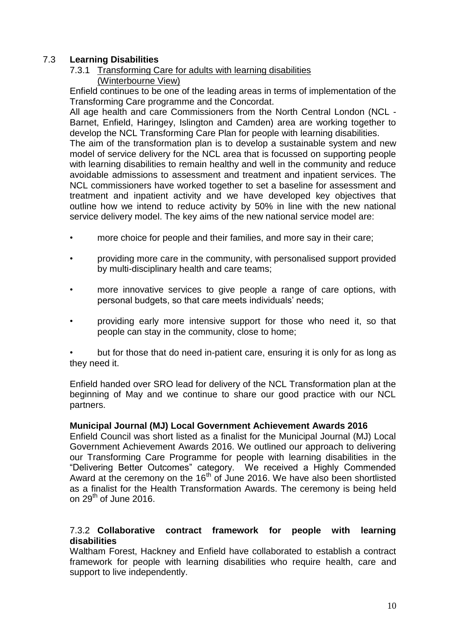# 7.3 **Learning Disabilities**

# 7.3.1 Transforming Care for adults with learning disabilities (Winterbourne View)

Enfield continues to be one of the leading areas in terms of implementation of the Transforming Care programme and the Concordat.

All age health and care Commissioners from the North Central London (NCL - Barnet, Enfield, Haringey, Islington and Camden) area are working together to develop the NCL Transforming Care Plan for people with learning disabilities.

The aim of the transformation plan is to develop a sustainable system and new model of service delivery for the NCL area that is focussed on supporting people with learning disabilities to remain healthy and well in the community and reduce avoidable admissions to assessment and treatment and inpatient services. The NCL commissioners have worked together to set a baseline for assessment and treatment and inpatient activity and we have developed key objectives that outline how we intend to reduce activity by 50% in line with the new national service delivery model. The key aims of the new national service model are:

- more choice for people and their families, and more say in their care;
- providing more care in the community, with personalised support provided by multi-disciplinary health and care teams;
- more innovative services to give people a range of care options, with personal budgets, so that care meets individuals' needs;
- providing early more intensive support for those who need it, so that people can stay in the community, close to home;

• but for those that do need in-patient care, ensuring it is only for as long as they need it.

Enfield handed over SRO lead for delivery of the NCL Transformation plan at the beginning of May and we continue to share our good practice with our NCL partners.

#### **Municipal Journal (MJ) Local Government Achievement Awards 2016**

Enfield Council was short listed as a finalist for the Municipal Journal (MJ) Local Government Achievement Awards 2016. We outlined our approach to delivering our Transforming Care Programme for people with learning disabilities in the "Delivering Better Outcomes" category. We received a Highly Commended Award at the ceremony on the 16<sup>th</sup> of June 2016. We have also been shortlisted as a finalist for the Health Transformation Awards. The ceremony is being held on  $29<sup>th</sup>$  of June 2016.

#### 7.3.2 **Collaborative contract framework for people with learning disabilities**

Waltham Forest, Hackney and Enfield have collaborated to establish a contract framework for people with learning disabilities who require health, care and support to live independently.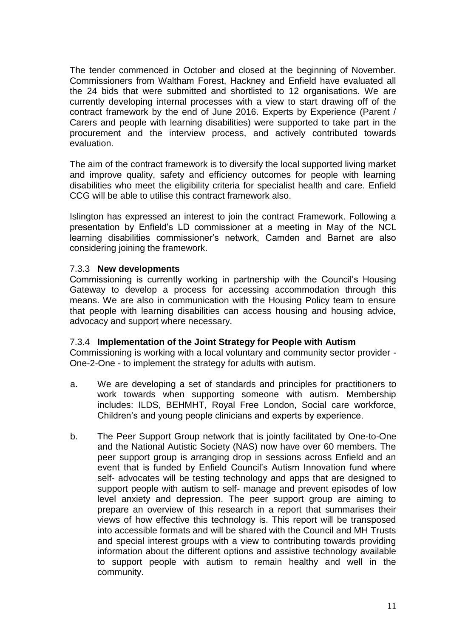The tender commenced in October and closed at the beginning of November. Commissioners from Waltham Forest, Hackney and Enfield have evaluated all the 24 bids that were submitted and shortlisted to 12 organisations. We are currently developing internal processes with a view to start drawing off of the contract framework by the end of June 2016. Experts by Experience (Parent / Carers and people with learning disabilities) were supported to take part in the procurement and the interview process, and actively contributed towards evaluation.

The aim of the contract framework is to diversify the local supported living market and improve quality, safety and efficiency outcomes for people with learning disabilities who meet the eligibility criteria for specialist health and care. Enfield CCG will be able to utilise this contract framework also.

Islington has expressed an interest to join the contract Framework. Following a presentation by Enfield's LD commissioner at a meeting in May of the NCL learning disabilities commissioner's network, Camden and Barnet are also considering joining the framework.

#### 7.3.3 **New developments**

Commissioning is currently working in partnership with the Council's Housing Gateway to develop a process for accessing accommodation through this means. We are also in communication with the Housing Policy team to ensure that people with learning disabilities can access housing and housing advice, advocacy and support where necessary.

#### 7.3.4 **Implementation of the Joint Strategy for People with Autism**

Commissioning is working with a local voluntary and community sector provider - One-2-One - to implement the strategy for adults with autism.

- a. We are developing a set of standards and principles for practitioners to work towards when supporting someone with autism. Membership includes: ILDS, BEHMHT, Royal Free London, Social care workforce, Children's and young people clinicians and experts by experience.
- b. The Peer Support Group network that is jointly facilitated by One-to-One and the National Autistic Society (NAS) now have over 60 members. The peer support group is arranging drop in sessions across Enfield and an event that is funded by Enfield Council's Autism Innovation fund where self- advocates will be testing technology and apps that are designed to support people with autism to self- manage and prevent episodes of low level anxiety and depression. The peer support group are aiming to prepare an overview of this research in a report that summarises their views of how effective this technology is. This report will be transposed into accessible formats and will be shared with the Council and MH Trusts and special interest groups with a view to contributing towards providing information about the different options and assistive technology available to support people with autism to remain healthy and well in the community.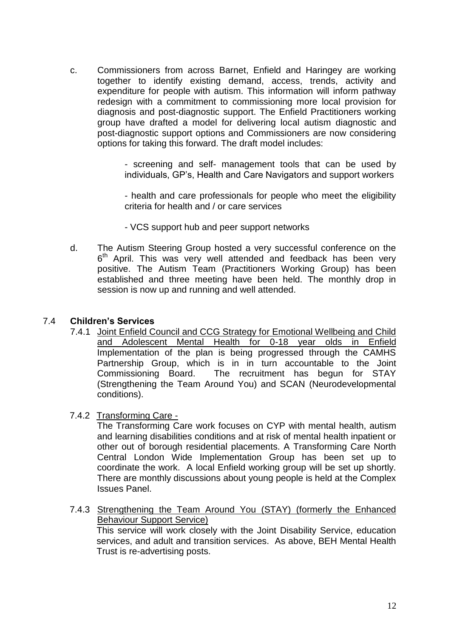c. Commissioners from across Barnet, Enfield and Haringey are working together to identify existing demand, access, trends, activity and expenditure for people with autism. This information will inform pathway redesign with a commitment to commissioning more local provision for diagnosis and post-diagnostic support. The Enfield Practitioners working group have drafted a model for delivering local autism diagnostic and post-diagnostic support options and Commissioners are now considering options for taking this forward. The draft model includes:

> - screening and self- management tools that can be used by individuals, GP's, Health and Care Navigators and support workers

> - health and care professionals for people who meet the eligibility criteria for health and / or care services

- VCS support hub and peer support networks
- d. The Autism Steering Group hosted a very successful conference on the 6<sup>th</sup> April. This was very well attended and feedback has been very positive. The Autism Team (Practitioners Working Group) has been established and three meeting have been held. The monthly drop in session is now up and running and well attended.

#### 7.4 **Children's Services**

- 7.4.1 Joint Enfield Council and CCG Strategy for Emotional Wellbeing and Child and Adolescent Mental Health for 0-18 year olds in Enfield Implementation of the plan is being progressed through the CAMHS Partnership Group, which is in in turn accountable to the Joint Commissioning Board. The recruitment has begun for STAY (Strengthening the Team Around You) and SCAN (Neurodevelopmental conditions).
- 7.4.2 Transforming Care -

The Transforming Care work focuses on CYP with mental health, autism and learning disabilities conditions and at risk of mental health inpatient or other out of borough residential placements. A Transforming Care North Central London Wide Implementation Group has been set up to coordinate the work. A local Enfield working group will be set up shortly. There are monthly discussions about young people is held at the Complex Issues Panel.

7.4.3 Strengthening the Team Around You (STAY) (formerly the Enhanced Behaviour Support Service) This service will work closely with the Joint Disability Service, education services, and adult and transition services. As above, BEH Mental Health Trust is re-advertising posts.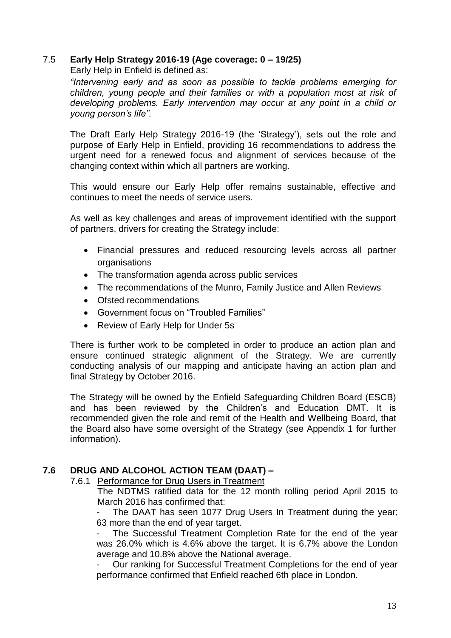# 7.5 **Early Help Strategy 2016-19 (Age coverage: 0 – 19/25)**

Early Help in Enfield is defined as:

*"Intervening early and as soon as possible to tackle problems emerging for children, young people and their families or with a population most at risk of developing problems. Early intervention may occur at any point in a child or young person's life".*

The Draft Early Help Strategy 2016-19 (the 'Strategy'), sets out the role and purpose of Early Help in Enfield, providing 16 recommendations to address the urgent need for a renewed focus and alignment of services because of the changing context within which all partners are working.

This would ensure our Early Help offer remains sustainable, effective and continues to meet the needs of service users.

As well as key challenges and areas of improvement identified with the support of partners, drivers for creating the Strategy include:

- Financial pressures and reduced resourcing levels across all partner organisations
- The transformation agenda across public services
- The recommendations of the Munro, Family Justice and Allen Reviews
- Ofsted recommendations
- Government focus on "Troubled Families"
- Review of Early Help for Under 5s

There is further work to be completed in order to produce an action plan and ensure continued strategic alignment of the Strategy. We are currently conducting analysis of our mapping and anticipate having an action plan and final Strategy by October 2016.

The Strategy will be owned by the Enfield Safeguarding Children Board (ESCB) and has been reviewed by the Children's and Education DMT. It is recommended given the role and remit of the Health and Wellbeing Board, that the Board also have some oversight of the Strategy (see Appendix 1 for further information).

# **7.6 DRUG AND ALCOHOL ACTION TEAM (DAAT) –**

#### 7.6.1 Performance for Drug Users in Treatment

The NDTMS ratified data for the 12 month rolling period April 2015 to March 2016 has confirmed that:

The DAAT has seen 1077 Drug Users In Treatment during the year; 63 more than the end of year target.

The Successful Treatment Completion Rate for the end of the year was 26.0% which is 4.6% above the target. It is 6.7% above the London average and 10.8% above the National average.

Our ranking for Successful Treatment Completions for the end of year performance confirmed that Enfield reached 6th place in London.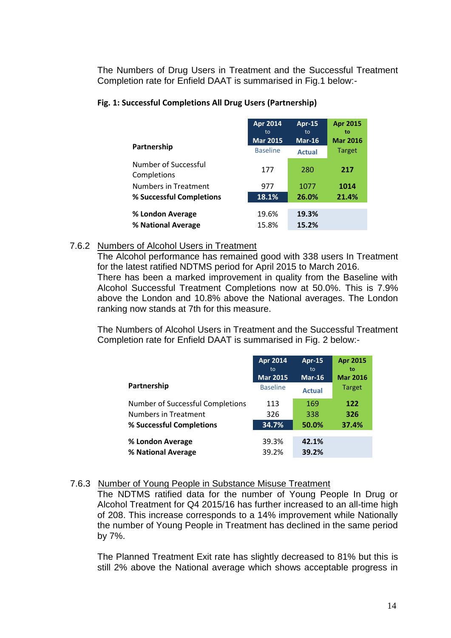The Numbers of Drug Users in Treatment and the Successful Treatment Completion rate for Enfield DAAT is summarised in Fig.1 below:-

#### **Fig. 1: Successful Completions All Drug Users (Partnership)**

|                                     | Apr 2014              | <b>Apr-15</b>  | <b>Apr 2015</b>       |
|-------------------------------------|-----------------------|----------------|-----------------------|
|                                     | to<br><b>Mar 2015</b> | to<br>$Mar-16$ | to<br><b>Mar 2016</b> |
| Partnership                         | <b>Baseline</b>       | <b>Actual</b>  | <b>Target</b>         |
| Number of Successful<br>Completions | 177                   | 280            | 217                   |
| <b>Numbers in Treatment</b>         | 977                   | 1077           | 1014                  |
| % Successful Completions            | 18.1%                 | 26.0%          | 21.4%                 |
| % London Average                    | 19.6%                 | 19.3%          |                       |
| % National Average                  | 15.8%                 | 15.2%          |                       |

#### 7.6.2 Numbers of Alcohol Users in Treatment

The Alcohol performance has remained good with 338 users In Treatment for the latest ratified NDTMS period for April 2015 to March 2016.

There has been a marked improvement in quality from the Baseline with Alcohol Successful Treatment Completions now at 50.0%. This is 7.9% above the London and 10.8% above the National averages. The London ranking now stands at 7th for this measure.

The Numbers of Alcohol Users in Treatment and the Successful Treatment Completion rate for Enfield DAAT is summarised in Fig. 2 below:-

|                                  | Apr 2014<br>to  | <b>Apr-15</b><br>to | <b>Apr 2015</b><br>to |
|----------------------------------|-----------------|---------------------|-----------------------|
|                                  | <b>Mar 2015</b> | $Mar-16$            | <b>Mar 2016</b>       |
| Partnership                      | <b>Baseline</b> | <b>Actual</b>       | <b>Target</b>         |
| Number of Successful Completions | 113             | 169                 | 122                   |
| Numbers in Treatment             | 326             | 338                 | 326                   |
| % Successful Completions         | 34.7%           | 50.0%               | 37.4%                 |
| % London Average                 | 39.3%           | 42.1%               |                       |
| % National Average               | 39.2%           | 39.2%               |                       |

# 7.6.3 Number of Young People in Substance Misuse Treatment

The NDTMS ratified data for the number of Young People In Drug or Alcohol Treatment for Q4 2015/16 has further increased to an all-time high of 208. This increase corresponds to a 14% improvement while Nationally the number of Young People in Treatment has declined in the same period by 7%.

The Planned Treatment Exit rate has slightly decreased to 81% but this is still 2% above the National average which shows acceptable progress in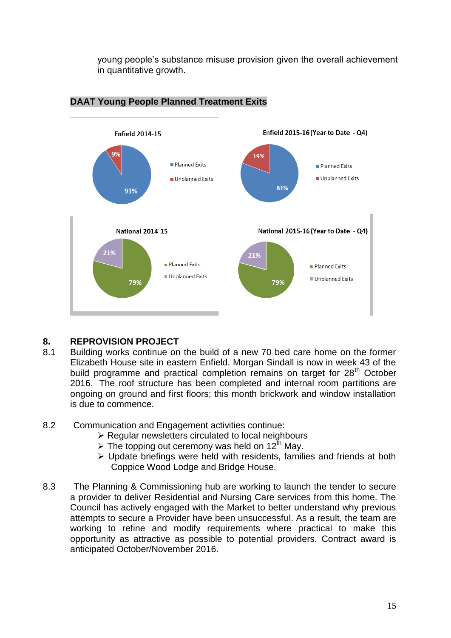young people's substance misuse provision given the overall achievement in quantitative growth.



# **DAAT Young People Planned Treatment Exits**

# **8. REPROVISION PROJECT**

- 8.1 Building works continue on the build of a new 70 bed care home on the former Elizabeth House site in eastern Enfield. Morgan Sindall is now in week 43 of the build programme and practical completion remains on target for  $28<sup>th</sup>$  October 2016. The roof structure has been completed and internal room partitions are ongoing on ground and first floors; this month brickwork and window installation is due to commence.
- 8.2 Communication and Engagement activities continue:
	- $\triangleright$  Regular newsletters circulated to local neighbours
	- $\triangleright$  The topping out ceremony was held on 12<sup>th</sup> May.
	- Update briefings were held with residents, families and friends at both Coppice Wood Lodge and Bridge House.
- 8.3 The Planning & Commissioning hub are working to launch the tender to secure a provider to deliver Residential and Nursing Care services from this home. The Council has actively engaged with the Market to better understand why previous attempts to secure a Provider have been unsuccessful. As a result, the team are working to refine and modify requirements where practical to make this opportunity as attractive as possible to potential providers. Contract award is anticipated October/November 2016.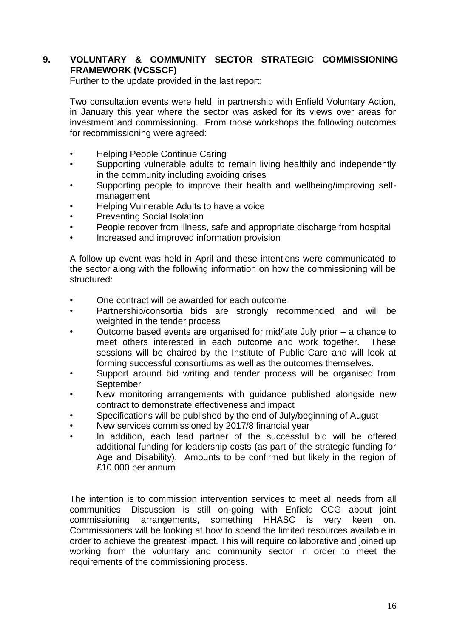# **9. VOLUNTARY & COMMUNITY SECTOR STRATEGIC COMMISSIONING FRAMEWORK (VCSSCF)**

Further to the update provided in the last report:

Two consultation events were held, in partnership with Enfield Voluntary Action, in January this year where the sector was asked for its views over areas for investment and commissioning. From those workshops the following outcomes for recommissioning were agreed:

- Helping People Continue Caring
- Supporting vulnerable adults to remain living healthily and independently in the community including avoiding crises
- Supporting people to improve their health and wellbeing/improving selfmanagement
- Helping Vulnerable Adults to have a voice
- Preventing Social Isolation
- People recover from illness, safe and appropriate discharge from hospital
- Increased and improved information provision

A follow up event was held in April and these intentions were communicated to the sector along with the following information on how the commissioning will be structured:

- One contract will be awarded for each outcome
- Partnership/consortia bids are strongly recommended and will be weighted in the tender process
- Outcome based events are organised for mid/late July prior a chance to meet others interested in each outcome and work together. These sessions will be chaired by the Institute of Public Care and will look at forming successful consortiums as well as the outcomes themselves.
- Support around bid writing and tender process will be organised from **September**
- New monitoring arrangements with guidance published alongside new contract to demonstrate effectiveness and impact
- Specifications will be published by the end of July/beginning of August
- New services commissioned by 2017/8 financial year
- In addition, each lead partner of the successful bid will be offered additional funding for leadership costs (as part of the strategic funding for Age and Disability). Amounts to be confirmed but likely in the region of £10,000 per annum

The intention is to commission intervention services to meet all needs from all communities. Discussion is still on-going with Enfield CCG about joint commissioning arrangements, something HHASC is very keen on. Commissioners will be looking at how to spend the limited resources available in order to achieve the greatest impact. This will require collaborative and joined up working from the voluntary and community sector in order to meet the requirements of the commissioning process.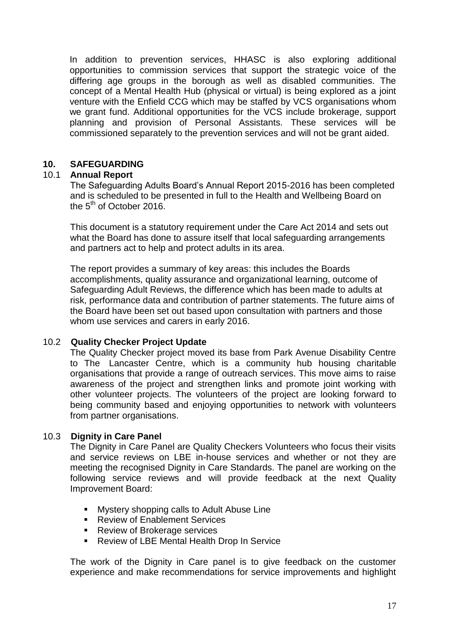In addition to prevention services, HHASC is also exploring additional opportunities to commission services that support the strategic voice of the differing age groups in the borough as well as disabled communities. The concept of a Mental Health Hub (physical or virtual) is being explored as a joint venture with the Enfield CCG which may be staffed by VCS organisations whom we grant fund. Additional opportunities for the VCS include brokerage, support planning and provision of Personal Assistants. These services will be commissioned separately to the prevention services and will not be grant aided.

# **10. SAFEGUARDING**

#### 10.1 **Annual Report**

The Safeguarding Adults Board's Annual Report 2015-2016 has been completed and is scheduled to be presented in full to the Health and Wellbeing Board on the  $5<sup>th</sup>$  of October 2016.

This document is a statutory requirement under the Care Act 2014 and sets out what the Board has done to assure itself that local safeguarding arrangements and partners act to help and protect adults in its area.

The report provides a summary of key areas: this includes the Boards accomplishments, quality assurance and organizational learning, outcome of Safeguarding Adult Reviews, the difference which has been made to adults at risk, performance data and contribution of partner statements. The future aims of the Board have been set out based upon consultation with partners and those whom use services and carers in early 2016.

#### 10.2 **Quality Checker Project Update**

The Quality Checker project moved its base from Park Avenue Disability Centre to The Lancaster Centre, which is a community hub housing charitable organisations that provide a range of outreach services. This move aims to raise awareness of the project and strengthen links and promote joint working with other volunteer projects. The volunteers of the project are looking forward to being community based and enjoying opportunities to network with volunteers from partner organisations.

#### 10.3 **Dignity in Care Panel**

The Dignity in Care Panel are Quality Checkers Volunteers who focus their visits and service reviews on LBE in-house services and whether or not they are meeting the recognised Dignity in Care Standards. The panel are working on the following service reviews and will provide feedback at the next Quality Improvement Board:

- **Mystery shopping calls to Adult Abuse Line**
- Review of Enablement Services
- Review of Brokerage services
- **Review of LBE Mental Health Drop In Service**

The work of the Dignity in Care panel is to give feedback on the customer experience and make recommendations for service improvements and highlight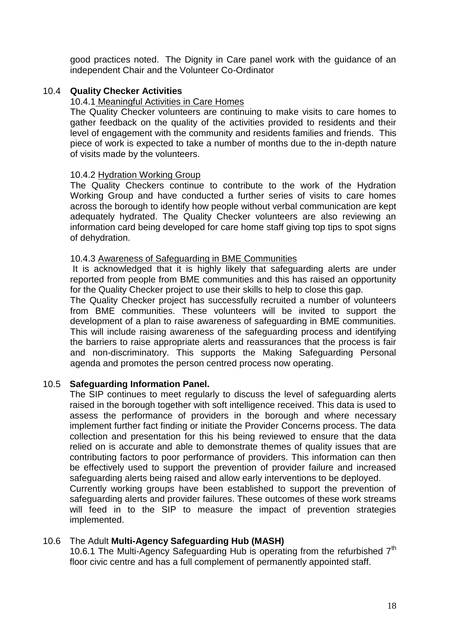good practices noted. The Dignity in Care panel work with the guidance of an independent Chair and the Volunteer Co-Ordinator

# 10.4 **Quality Checker Activities**

#### 10.4.1 Meaningful Activities in Care Homes

The Quality Checker volunteers are continuing to make visits to care homes to gather feedback on the quality of the activities provided to residents and their level of engagement with the community and residents families and friends. This piece of work is expected to take a number of months due to the in-depth nature of visits made by the volunteers.

#### 10.4.2 Hydration Working Group

The Quality Checkers continue to contribute to the work of the Hydration Working Group and have conducted a further series of visits to care homes across the borough to identify how people without verbal communication are kept adequately hydrated. The Quality Checker volunteers are also reviewing an information card being developed for care home staff giving top tips to spot signs of dehydration.

#### 10.4.3 Awareness of Safeguarding in BME Communities

It is acknowledged that it is highly likely that safeguarding alerts are under reported from people from BME communities and this has raised an opportunity for the Quality Checker project to use their skills to help to close this gap.

The Quality Checker project has successfully recruited a number of volunteers from BME communities. These volunteers will be invited to support the development of a plan to raise awareness of safeguarding in BME communities. This will include raising awareness of the safeguarding process and identifying the barriers to raise appropriate alerts and reassurances that the process is fair and non-discriminatory. This supports the Making Safeguarding Personal agenda and promotes the person centred process now operating.

#### 10.5 **Safeguarding Information Panel.**

The SIP continues to meet regularly to discuss the level of safeguarding alerts raised in the borough together with soft intelligence received. This data is used to assess the performance of providers in the borough and where necessary implement further fact finding or initiate the Provider Concerns process. The data collection and presentation for this his being reviewed to ensure that the data relied on is accurate and able to demonstrate themes of quality issues that are contributing factors to poor performance of providers. This information can then be effectively used to support the prevention of provider failure and increased safeguarding alerts being raised and allow early interventions to be deployed. Currently working groups have been established to support the prevention of safeguarding alerts and provider failures. These outcomes of these work streams will feed in to the SIP to measure the impact of prevention strategies implemented.

#### 10.6 The Adult **Multi-Agency Safeguarding Hub (MASH)**

10.6.1 The Multi-Agency Safeguarding Hub is operating from the refurbished  $7<sup>th</sup>$ floor civic centre and has a full complement of permanently appointed staff.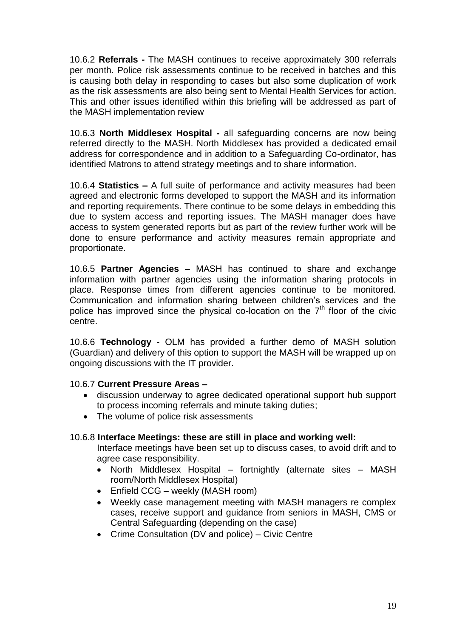10.6.2 **Referrals -** The MASH continues to receive approximately 300 referrals per month. Police risk assessments continue to be received in batches and this is causing both delay in responding to cases but also some duplication of work as the risk assessments are also being sent to Mental Health Services for action. This and other issues identified within this briefing will be addressed as part of the MASH implementation review

10.6.3 **North Middlesex Hospital -** all safeguarding concerns are now being referred directly to the MASH. North Middlesex has provided a dedicated email address for correspondence and in addition to a Safeguarding Co-ordinator, has identified Matrons to attend strategy meetings and to share information.

10.6.4 **Statistics –** A full suite of performance and activity measures had been agreed and electronic forms developed to support the MASH and its information and reporting requirements. There continue to be some delays in embedding this due to system access and reporting issues. The MASH manager does have access to system generated reports but as part of the review further work will be done to ensure performance and activity measures remain appropriate and proportionate.

10.6.5 **Partner Agencies –** MASH has continued to share and exchange information with partner agencies using the information sharing protocols in place. Response times from different agencies continue to be monitored. Communication and information sharing between children's services and the police has improved since the physical co-location on the  $7<sup>th</sup>$  floor of the civic centre.

10.6.6 **Technology -** OLM has provided a further demo of MASH solution (Guardian) and delivery of this option to support the MASH will be wrapped up on ongoing discussions with the IT provider.

#### 10.6.7 **Current Pressure Areas –**

- discussion underway to agree dedicated operational support hub support to process incoming referrals and minute taking duties;
- The volume of police risk assessments

#### 10.6.8 **Interface Meetings: these are still in place and working well:**

Interface meetings have been set up to discuss cases, to avoid drift and to agree case responsibility.

- North Middlesex Hospital fortnightly (alternate sites MASH room/North Middlesex Hospital)
- Enfield CCG weekly (MASH room)
- Weekly case management meeting with MASH managers re complex cases, receive support and guidance from seniors in MASH, CMS or Central Safeguarding (depending on the case)
- Crime Consultation (DV and police) Civic Centre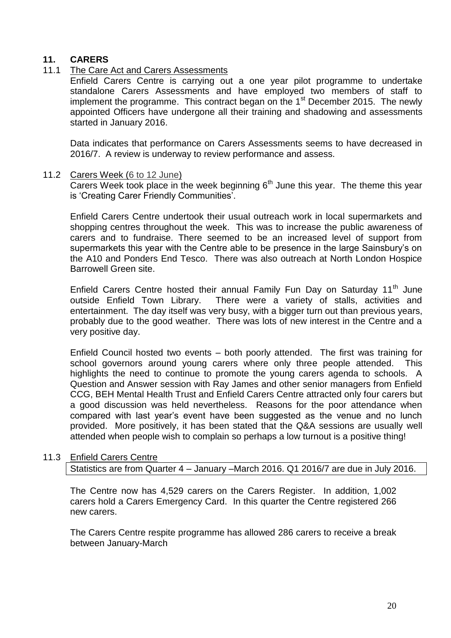# **11. CARERS**

# 11.1 The Care Act and Carers Assessments

Enfield Carers Centre is carrying out a one year pilot programme to undertake standalone Carers Assessments and have employed two members of staff to implement the programme. This contract began on the  $1<sup>st</sup>$  December 2015. The newly appointed Officers have undergone all their training and shadowing and assessments started in January 2016.

Data indicates that performance on Carers Assessments seems to have decreased in 2016/7. A review is underway to review performance and assess.

#### 11.2 Carers Week (6 to 12 June)

 $\overline{\text{Cares Week took place in the week beginning } 6^{\text{th}}$  June this year. The theme this year is 'Creating Carer Friendly Communities'.

Enfield Carers Centre undertook their usual outreach work in local supermarkets and shopping centres throughout the week. This was to increase the public awareness of carers and to fundraise. There seemed to be an increased level of support from supermarkets this year with the Centre able to be presence in the large Sainsbury's on the A10 and Ponders End Tesco. There was also outreach at North London Hospice Barrowell Green site.

Enfield Carers Centre hosted their annual Family Fun Day on Saturday 11<sup>th</sup> June outside Enfield Town Library. There were a variety of stalls, activities and entertainment. The day itself was very busy, with a bigger turn out than previous years, probably due to the good weather. There was lots of new interest in the Centre and a very positive day.

Enfield Council hosted two events – both poorly attended. The first was training for school governors around young carers where only three people attended. This highlights the need to continue to promote the young carers agenda to schools. A Question and Answer session with Ray James and other senior managers from Enfield CCG, BEH Mental Health Trust and Enfield Carers Centre attracted only four carers but a good discussion was held nevertheless. Reasons for the poor attendance when compared with last year's event have been suggested as the venue and no lunch provided. More positively, it has been stated that the Q&A sessions are usually well attended when people wish to complain so perhaps a low turnout is a positive thing!

# 11.3 Enfield Carers Centre

Statistics are from Quarter 4 – January –March 2016. Q1 2016/7 are due in July 2016.

The Centre now has 4,529 carers on the Carers Register. In addition, 1,002 carers hold a Carers Emergency Card. In this quarter the Centre registered 266 new carers.

The Carers Centre respite programme has allowed 286 carers to receive a break between January-March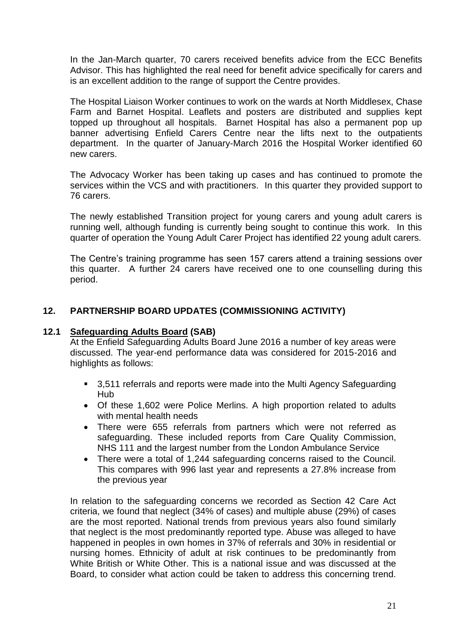In the Jan-March quarter, 70 carers received benefits advice from the ECC Benefits Advisor. This has highlighted the real need for benefit advice specifically for carers and is an excellent addition to the range of support the Centre provides.

The Hospital Liaison Worker continues to work on the wards at North Middlesex, Chase Farm and Barnet Hospital. Leaflets and posters are distributed and supplies kept topped up throughout all hospitals. Barnet Hospital has also a permanent pop up banner advertising Enfield Carers Centre near the lifts next to the outpatients department. In the quarter of January-March 2016 the Hospital Worker identified 60 new carers.

The Advocacy Worker has been taking up cases and has continued to promote the services within the VCS and with practitioners. In this quarter they provided support to 76 carers.

The newly established Transition project for young carers and young adult carers is running well, although funding is currently being sought to continue this work. In this quarter of operation the Young Adult Carer Project has identified 22 young adult carers.

The Centre's training programme has seen 157 carers attend a training sessions over this quarter. A further 24 carers have received one to one counselling during this period.

# **12. PARTNERSHIP BOARD UPDATES (COMMISSIONING ACTIVITY)**

### **12.1 Safeguarding Adults Board (SAB)**

At the Enfield Safeguarding Adults Board June 2016 a number of key areas were discussed. The year-end performance data was considered for 2015-2016 and highlights as follows:

- 3,511 referrals and reports were made into the Multi Agency Safeguarding Hub
- Of these 1,602 were Police Merlins. A high proportion related to adults with mental health needs
- There were 655 referrals from partners which were not referred as safeguarding. These included reports from Care Quality Commission, NHS 111 and the largest number from the London Ambulance Service
- There were a total of 1,244 safeguarding concerns raised to the Council. This compares with 996 last year and represents a 27.8% increase from the previous year

In relation to the safeguarding concerns we recorded as Section 42 Care Act criteria, we found that neglect (34% of cases) and multiple abuse (29%) of cases are the most reported. National trends from previous years also found similarly that neglect is the most predominantly reported type. Abuse was alleged to have happened in peoples in own homes in 37% of referrals and 30% in residential or nursing homes. Ethnicity of adult at risk continues to be predominantly from White British or White Other. This is a national issue and was discussed at the Board, to consider what action could be taken to address this concerning trend.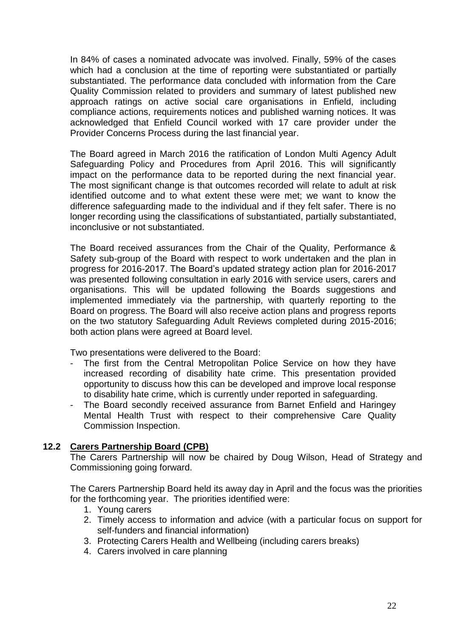In 84% of cases a nominated advocate was involved. Finally, 59% of the cases which had a conclusion at the time of reporting were substantiated or partially substantiated. The performance data concluded with information from the Care Quality Commission related to providers and summary of latest published new approach ratings on active social care organisations in Enfield, including compliance actions, requirements notices and published warning notices. It was acknowledged that Enfield Council worked with 17 care provider under the Provider Concerns Process during the last financial year.

The Board agreed in March 2016 the ratification of London Multi Agency Adult Safeguarding Policy and Procedures from April 2016. This will significantly impact on the performance data to be reported during the next financial year. The most significant change is that outcomes recorded will relate to adult at risk identified outcome and to what extent these were met; we want to know the difference safeguarding made to the individual and if they felt safer. There is no longer recording using the classifications of substantiated, partially substantiated, inconclusive or not substantiated.

The Board received assurances from the Chair of the Quality, Performance & Safety sub-group of the Board with respect to work undertaken and the plan in progress for 2016-2017. The Board's updated strategy action plan for 2016-2017 was presented following consultation in early 2016 with service users, carers and organisations. This will be updated following the Boards suggestions and implemented immediately via the partnership, with quarterly reporting to the Board on progress. The Board will also receive action plans and progress reports on the two statutory Safeguarding Adult Reviews completed during 2015-2016; both action plans were agreed at Board level.

Two presentations were delivered to the Board:

- The first from the Central Metropolitan Police Service on how they have increased recording of disability hate crime. This presentation provided opportunity to discuss how this can be developed and improve local response to disability hate crime, which is currently under reported in safeguarding.
- The Board secondly received assurance from Barnet Enfield and Haringey Mental Health Trust with respect to their comprehensive Care Quality Commission Inspection.

#### **12.2 Carers Partnership Board (CPB)**

The Carers Partnership will now be chaired by Doug Wilson, Head of Strategy and Commissioning going forward.

The Carers Partnership Board held its away day in April and the focus was the priorities for the forthcoming year. The priorities identified were:

- 1. Young carers
- 2. Timely access to information and advice (with a particular focus on support for self-funders and financial information)
- 3. Protecting Carers Health and Wellbeing (including carers breaks)
- 4. Carers involved in care planning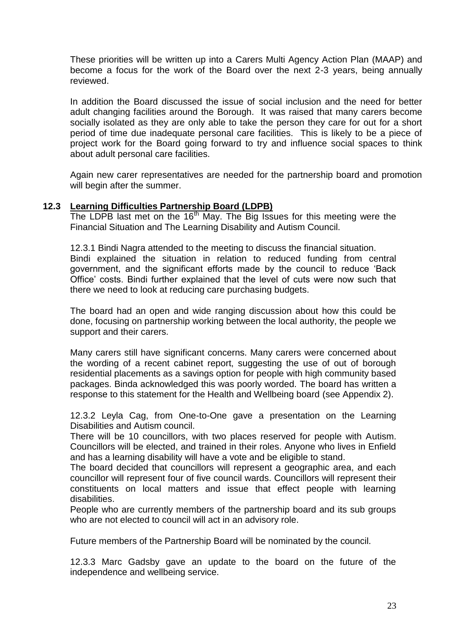These priorities will be written up into a Carers Multi Agency Action Plan (MAAP) and become a focus for the work of the Board over the next 2-3 years, being annually reviewed.

In addition the Board discussed the issue of social inclusion and the need for better adult changing facilities around the Borough. It was raised that many carers become socially isolated as they are only able to take the person they care for out for a short period of time due inadequate personal care facilities. This is likely to be a piece of project work for the Board going forward to try and influence social spaces to think about adult personal care facilities.

Again new carer representatives are needed for the partnership board and promotion will begin after the summer.

#### **12.3 Learning Difficulties Partnership Board (LDPB)**

The LDPB last met on the 16<sup>th</sup> May. The Big Issues for this meeting were the Financial Situation and The Learning Disability and Autism Council.

12.3.1 Bindi Nagra attended to the meeting to discuss the financial situation. Bindi explained the situation in relation to reduced funding from central government, and the significant efforts made by the council to reduce 'Back Office' costs. Bindi further explained that the level of cuts were now such that there we need to look at reducing care purchasing budgets.

The board had an open and wide ranging discussion about how this could be done, focusing on partnership working between the local authority, the people we support and their carers.

Many carers still have significant concerns. Many carers were concerned about the wording of a recent cabinet report, suggesting the use of out of borough residential placements as a savings option for people with high community based packages. Binda acknowledged this was poorly worded. The board has written a response to this statement for the Health and Wellbeing board (see Appendix 2).

12.3.2 Leyla Cag, from One-to-One gave a presentation on the Learning Disabilities and Autism council.

There will be 10 councillors, with two places reserved for people with Autism. Councillors will be elected, and trained in their roles. Anyone who lives in Enfield and has a learning disability will have a vote and be eligible to stand.

The board decided that councillors will represent a geographic area, and each councillor will represent four of five council wards. Councillors will represent their constituents on local matters and issue that effect people with learning disabilities.

People who are currently members of the partnership board and its sub groups who are not elected to council will act in an advisory role.

Future members of the Partnership Board will be nominated by the council.

12.3.3 Marc Gadsby gave an update to the board on the future of the independence and wellbeing service.